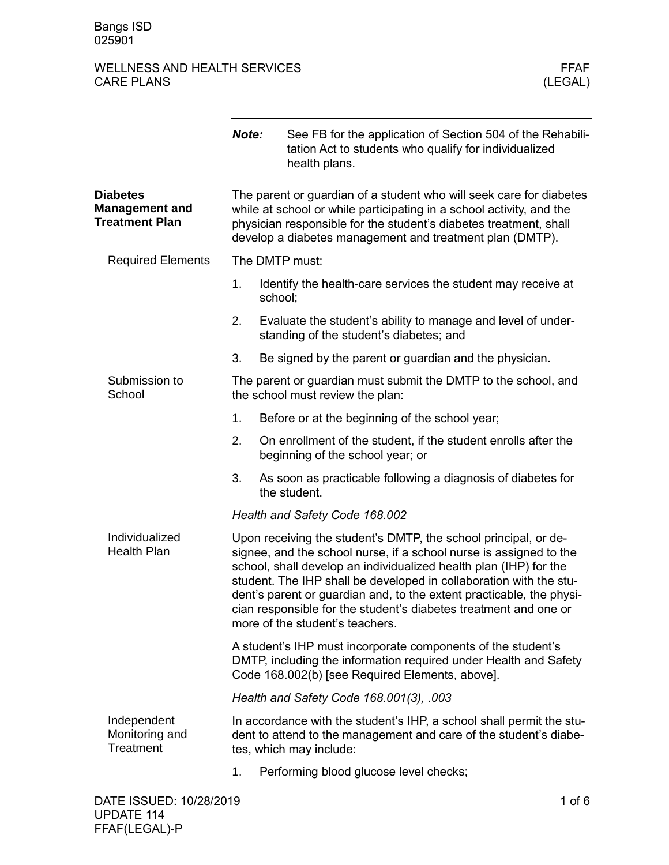|                                                                   | Note:                                                                                                                                                                                                                                                                        | See FB for the application of Section 504 of the Rehabili-<br>tation Act to students who qualify for individualized<br>health plans.                                                                                                                                                                                                                                                                                                                            |  |  |  |
|-------------------------------------------------------------------|------------------------------------------------------------------------------------------------------------------------------------------------------------------------------------------------------------------------------------------------------------------------------|-----------------------------------------------------------------------------------------------------------------------------------------------------------------------------------------------------------------------------------------------------------------------------------------------------------------------------------------------------------------------------------------------------------------------------------------------------------------|--|--|--|
| <b>Diabetes</b><br><b>Management and</b><br><b>Treatment Plan</b> | The parent or guardian of a student who will seek care for diabetes<br>while at school or while participating in a school activity, and the<br>physician responsible for the student's diabetes treatment, shall<br>develop a diabetes management and treatment plan (DMTP). |                                                                                                                                                                                                                                                                                                                                                                                                                                                                 |  |  |  |
| <b>Required Elements</b>                                          | The DMTP must:                                                                                                                                                                                                                                                               |                                                                                                                                                                                                                                                                                                                                                                                                                                                                 |  |  |  |
|                                                                   | 1.                                                                                                                                                                                                                                                                           | Identify the health-care services the student may receive at<br>school;                                                                                                                                                                                                                                                                                                                                                                                         |  |  |  |
|                                                                   | 2.                                                                                                                                                                                                                                                                           | Evaluate the student's ability to manage and level of under-<br>standing of the student's diabetes; and                                                                                                                                                                                                                                                                                                                                                         |  |  |  |
|                                                                   | 3.                                                                                                                                                                                                                                                                           | Be signed by the parent or guardian and the physician.                                                                                                                                                                                                                                                                                                                                                                                                          |  |  |  |
| Submission to<br>School                                           |                                                                                                                                                                                                                                                                              | The parent or guardian must submit the DMTP to the school, and<br>the school must review the plan:                                                                                                                                                                                                                                                                                                                                                              |  |  |  |
|                                                                   | 1.                                                                                                                                                                                                                                                                           | Before or at the beginning of the school year;                                                                                                                                                                                                                                                                                                                                                                                                                  |  |  |  |
|                                                                   | 2.                                                                                                                                                                                                                                                                           | On enrollment of the student, if the student enrolls after the<br>beginning of the school year; or                                                                                                                                                                                                                                                                                                                                                              |  |  |  |
|                                                                   | 3.                                                                                                                                                                                                                                                                           | As soon as practicable following a diagnosis of diabetes for<br>the student.                                                                                                                                                                                                                                                                                                                                                                                    |  |  |  |
|                                                                   |                                                                                                                                                                                                                                                                              | Health and Safety Code 168.002                                                                                                                                                                                                                                                                                                                                                                                                                                  |  |  |  |
| Individualized<br><b>Health Plan</b>                              |                                                                                                                                                                                                                                                                              | Upon receiving the student's DMTP, the school principal, or de-<br>signee, and the school nurse, if a school nurse is assigned to the<br>school, shall develop an individualized health plan (IHP) for the<br>student. The IHP shall be developed in collaboration with the stu-<br>dent's parent or guardian and, to the extent practicable, the physi-<br>cian responsible for the student's diabetes treatment and one or<br>more of the student's teachers. |  |  |  |
|                                                                   | A student's IHP must incorporate components of the student's<br>DMTP, including the information required under Health and Safety<br>Code 168.002(b) [see Required Elements, above].                                                                                          |                                                                                                                                                                                                                                                                                                                                                                                                                                                                 |  |  |  |
|                                                                   |                                                                                                                                                                                                                                                                              | Health and Safety Code 168.001(3), .003                                                                                                                                                                                                                                                                                                                                                                                                                         |  |  |  |
| Independent<br>Monitoring and<br>Treatment                        |                                                                                                                                                                                                                                                                              | In accordance with the student's IHP, a school shall permit the stu-<br>dent to attend to the management and care of the student's diabe-<br>tes, which may include:                                                                                                                                                                                                                                                                                            |  |  |  |
|                                                                   | 1.                                                                                                                                                                                                                                                                           | Performing blood glucose level checks;                                                                                                                                                                                                                                                                                                                                                                                                                          |  |  |  |
| DATE ISSUED: 10/28/2019                                           |                                                                                                                                                                                                                                                                              | 1 of $6$                                                                                                                                                                                                                                                                                                                                                                                                                                                        |  |  |  |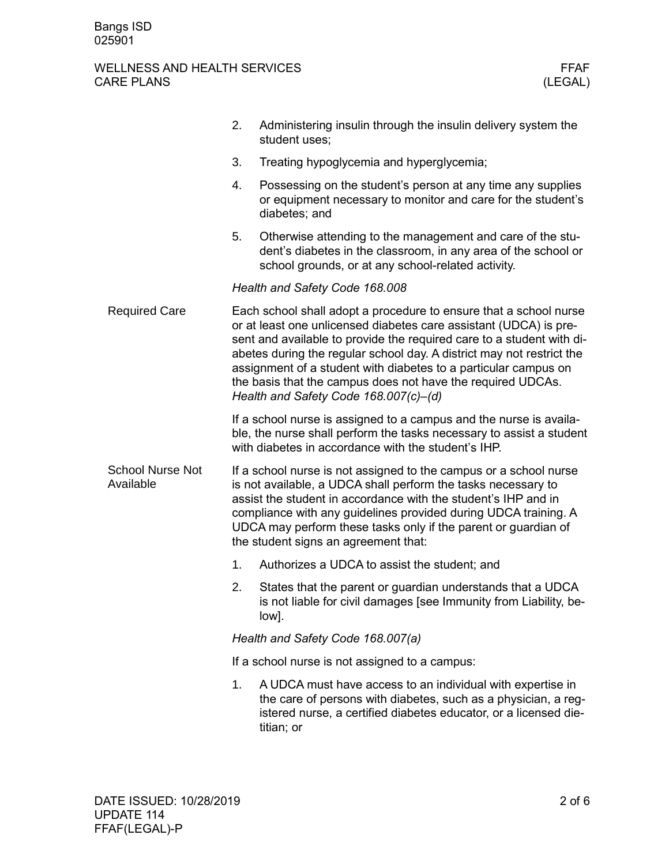|                                      | 2.                                                                                                                                                                                                                                                                                                                                                                                                                                                                  | Administering insulin through the insulin delivery system the<br>student uses;                                                                                                                                 |  |
|--------------------------------------|---------------------------------------------------------------------------------------------------------------------------------------------------------------------------------------------------------------------------------------------------------------------------------------------------------------------------------------------------------------------------------------------------------------------------------------------------------------------|----------------------------------------------------------------------------------------------------------------------------------------------------------------------------------------------------------------|--|
|                                      | 3.                                                                                                                                                                                                                                                                                                                                                                                                                                                                  | Treating hypoglycemia and hyperglycemia;                                                                                                                                                                       |  |
|                                      | 4.                                                                                                                                                                                                                                                                                                                                                                                                                                                                  | Possessing on the student's person at any time any supplies<br>or equipment necessary to monitor and care for the student's<br>diabetes; and                                                                   |  |
|                                      | 5.                                                                                                                                                                                                                                                                                                                                                                                                                                                                  | Otherwise attending to the management and care of the stu-<br>dent's diabetes in the classroom, in any area of the school or<br>school grounds, or at any school-related activity.                             |  |
|                                      |                                                                                                                                                                                                                                                                                                                                                                                                                                                                     | Health and Safety Code 168.008                                                                                                                                                                                 |  |
| <b>Required Care</b>                 | Each school shall adopt a procedure to ensure that a school nurse<br>or at least one unlicensed diabetes care assistant (UDCA) is pre-<br>sent and available to provide the required care to a student with di-<br>abetes during the regular school day. A district may not restrict the<br>assignment of a student with diabetes to a particular campus on<br>the basis that the campus does not have the required UDCAs.<br>Health and Safety Code 168.007(c)-(d) |                                                                                                                                                                                                                |  |
|                                      |                                                                                                                                                                                                                                                                                                                                                                                                                                                                     | If a school nurse is assigned to a campus and the nurse is availa-<br>ble, the nurse shall perform the tasks necessary to assist a student<br>with diabetes in accordance with the student's IHP.              |  |
| <b>School Nurse Not</b><br>Available | If a school nurse is not assigned to the campus or a school nurse<br>is not available, a UDCA shall perform the tasks necessary to<br>assist the student in accordance with the student's IHP and in<br>compliance with any guidelines provided during UDCA training. A<br>UDCA may perform these tasks only if the parent or guardian of<br>the student signs an agreement that:                                                                                   |                                                                                                                                                                                                                |  |
|                                      | 1.                                                                                                                                                                                                                                                                                                                                                                                                                                                                  | Authorizes a UDCA to assist the student; and                                                                                                                                                                   |  |
|                                      | 2.                                                                                                                                                                                                                                                                                                                                                                                                                                                                  | States that the parent or guardian understands that a UDCA<br>is not liable for civil damages [see Immunity from Liability, be-<br>low].                                                                       |  |
|                                      | Health and Safety Code 168.007(a)                                                                                                                                                                                                                                                                                                                                                                                                                                   |                                                                                                                                                                                                                |  |
|                                      | If a school nurse is not assigned to a campus:                                                                                                                                                                                                                                                                                                                                                                                                                      |                                                                                                                                                                                                                |  |
|                                      | 1.                                                                                                                                                                                                                                                                                                                                                                                                                                                                  | A UDCA must have access to an individual with expertise in<br>the care of persons with diabetes, such as a physician, a reg-<br>istered nurse, a certified diabetes educator, or a licensed die-<br>titian; or |  |
|                                      |                                                                                                                                                                                                                                                                                                                                                                                                                                                                     |                                                                                                                                                                                                                |  |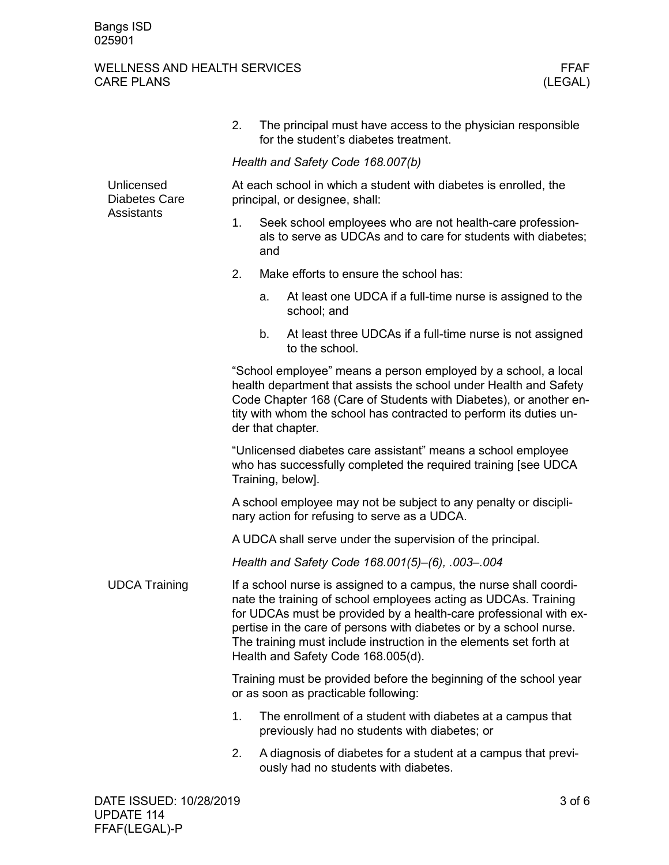|                                                  | 2.                                                                                                                                                                                                                                                                                                                                                                                           | The principal must have access to the physician responsible<br>for the student's diabetes treatment.       |  |  |  |  |
|--------------------------------------------------|----------------------------------------------------------------------------------------------------------------------------------------------------------------------------------------------------------------------------------------------------------------------------------------------------------------------------------------------------------------------------------------------|------------------------------------------------------------------------------------------------------------|--|--|--|--|
|                                                  | Health and Safety Code 168.007(b)                                                                                                                                                                                                                                                                                                                                                            |                                                                                                            |  |  |  |  |
| Unlicensed<br><b>Diabetes Care</b><br>Assistants | At each school in which a student with diabetes is enrolled, the<br>principal, or designee, shall:                                                                                                                                                                                                                                                                                           |                                                                                                            |  |  |  |  |
|                                                  | Seek school employees who are not health-care profession-<br>1.<br>als to serve as UDCAs and to care for students with diabetes;<br>and                                                                                                                                                                                                                                                      |                                                                                                            |  |  |  |  |
|                                                  | 2.                                                                                                                                                                                                                                                                                                                                                                                           | Make efforts to ensure the school has:                                                                     |  |  |  |  |
|                                                  | a.                                                                                                                                                                                                                                                                                                                                                                                           | At least one UDCA if a full-time nurse is assigned to the<br>school; and                                   |  |  |  |  |
|                                                  | b.                                                                                                                                                                                                                                                                                                                                                                                           | At least three UDCAs if a full-time nurse is not assigned<br>to the school.                                |  |  |  |  |
|                                                  | "School employee" means a person employed by a school, a local<br>health department that assists the school under Health and Safety<br>Code Chapter 168 (Care of Students with Diabetes), or another en-<br>tity with whom the school has contracted to perform its duties un-<br>der that chapter.                                                                                          |                                                                                                            |  |  |  |  |
|                                                  | "Unlicensed diabetes care assistant" means a school employee<br>who has successfully completed the required training [see UDCA<br>Training, below].                                                                                                                                                                                                                                          |                                                                                                            |  |  |  |  |
|                                                  | A school employee may not be subject to any penalty or discipli-<br>nary action for refusing to serve as a UDCA.                                                                                                                                                                                                                                                                             |                                                                                                            |  |  |  |  |
|                                                  | A UDCA shall serve under the supervision of the principal.                                                                                                                                                                                                                                                                                                                                   |                                                                                                            |  |  |  |  |
|                                                  | Health and Safety Code 168.001(5)-(6), .003-.004                                                                                                                                                                                                                                                                                                                                             |                                                                                                            |  |  |  |  |
| <b>UDCA Training</b>                             | If a school nurse is assigned to a campus, the nurse shall coordi-<br>nate the training of school employees acting as UDCAs. Training<br>for UDCAs must be provided by a health-care professional with ex-<br>pertise in the care of persons with diabetes or by a school nurse.<br>The training must include instruction in the elements set forth at<br>Health and Safety Code 168.005(d). |                                                                                                            |  |  |  |  |
|                                                  | Training must be provided before the beginning of the school year<br>or as soon as practicable following:                                                                                                                                                                                                                                                                                    |                                                                                                            |  |  |  |  |
|                                                  | 1.                                                                                                                                                                                                                                                                                                                                                                                           | The enrollment of a student with diabetes at a campus that<br>previously had no students with diabetes; or |  |  |  |  |
|                                                  | 2.                                                                                                                                                                                                                                                                                                                                                                                           | A diagnosis of diabetes for a student at a campus that previ-<br>ously had no students with diabetes.      |  |  |  |  |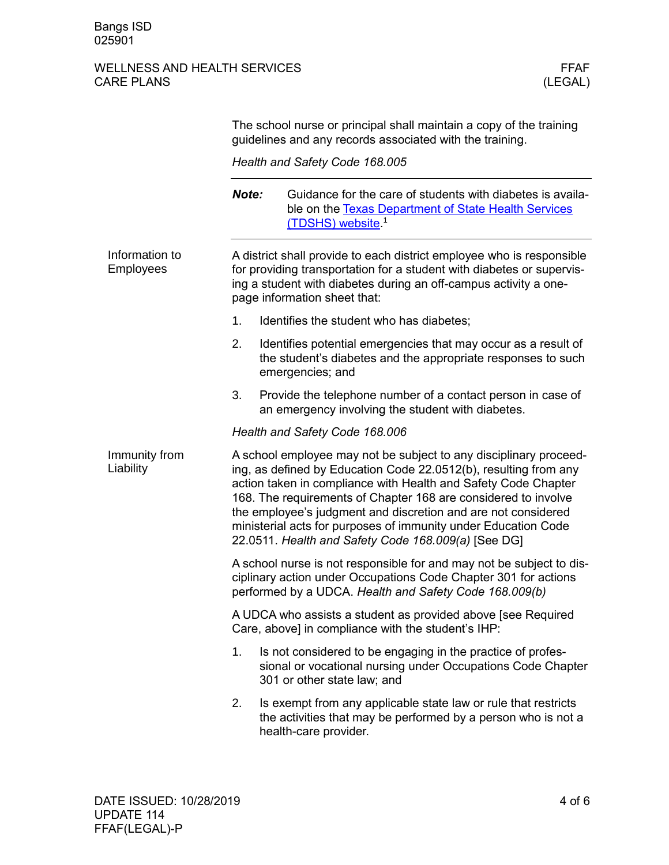|                                    | The school nurse or principal shall maintain a copy of the training<br>guidelines and any records associated with the training.                                                                                                                                                                                                                                                                                                                                     |                                                                                                                                                                                                                                                    |  |  |
|------------------------------------|---------------------------------------------------------------------------------------------------------------------------------------------------------------------------------------------------------------------------------------------------------------------------------------------------------------------------------------------------------------------------------------------------------------------------------------------------------------------|----------------------------------------------------------------------------------------------------------------------------------------------------------------------------------------------------------------------------------------------------|--|--|
|                                    | Health and Safety Code 168.005                                                                                                                                                                                                                                                                                                                                                                                                                                      |                                                                                                                                                                                                                                                    |  |  |
|                                    | Note:                                                                                                                                                                                                                                                                                                                                                                                                                                                               | Guidance for the care of students with diabetes is availa-<br>ble on the Texas Department of State Health Services<br>(TDSHS) website. <sup>1</sup>                                                                                                |  |  |
| Information to<br><b>Employees</b> |                                                                                                                                                                                                                                                                                                                                                                                                                                                                     | A district shall provide to each district employee who is responsible<br>for providing transportation for a student with diabetes or supervis-<br>ing a student with diabetes during an off-campus activity a one-<br>page information sheet that: |  |  |
|                                    | 1 <sub>1</sub>                                                                                                                                                                                                                                                                                                                                                                                                                                                      | Identifies the student who has diabetes;                                                                                                                                                                                                           |  |  |
|                                    | 2.                                                                                                                                                                                                                                                                                                                                                                                                                                                                  | Identifies potential emergencies that may occur as a result of<br>the student's diabetes and the appropriate responses to such<br>emergencies; and                                                                                                 |  |  |
|                                    | 3.                                                                                                                                                                                                                                                                                                                                                                                                                                                                  | Provide the telephone number of a contact person in case of<br>an emergency involving the student with diabetes.                                                                                                                                   |  |  |
|                                    | Health and Safety Code 168.006                                                                                                                                                                                                                                                                                                                                                                                                                                      |                                                                                                                                                                                                                                                    |  |  |
| Immunity from<br>Liability         | A school employee may not be subject to any disciplinary proceed-<br>ing, as defined by Education Code 22.0512(b), resulting from any<br>action taken in compliance with Health and Safety Code Chapter<br>168. The requirements of Chapter 168 are considered to involve<br>the employee's judgment and discretion and are not considered<br>ministerial acts for purposes of immunity under Education Code<br>22.0511. Health and Safety Code 168.009(a) [See DG] |                                                                                                                                                                                                                                                    |  |  |
|                                    | A school nurse is not responsible for and may not be subject to dis-<br>ciplinary action under Occupations Code Chapter 301 for actions<br>performed by a UDCA. Health and Safety Code 168.009(b)                                                                                                                                                                                                                                                                   |                                                                                                                                                                                                                                                    |  |  |
|                                    | A UDCA who assists a student as provided above [see Required<br>Care, above] in compliance with the student's IHP:                                                                                                                                                                                                                                                                                                                                                  |                                                                                                                                                                                                                                                    |  |  |
|                                    | 1.                                                                                                                                                                                                                                                                                                                                                                                                                                                                  | Is not considered to be engaging in the practice of profes-<br>sional or vocational nursing under Occupations Code Chapter<br>301 or other state law; and                                                                                          |  |  |
|                                    | 2.                                                                                                                                                                                                                                                                                                                                                                                                                                                                  | Is exempt from any applicable state law or rule that restricts<br>the activities that may be performed by a person who is not a<br>health-care provider.                                                                                           |  |  |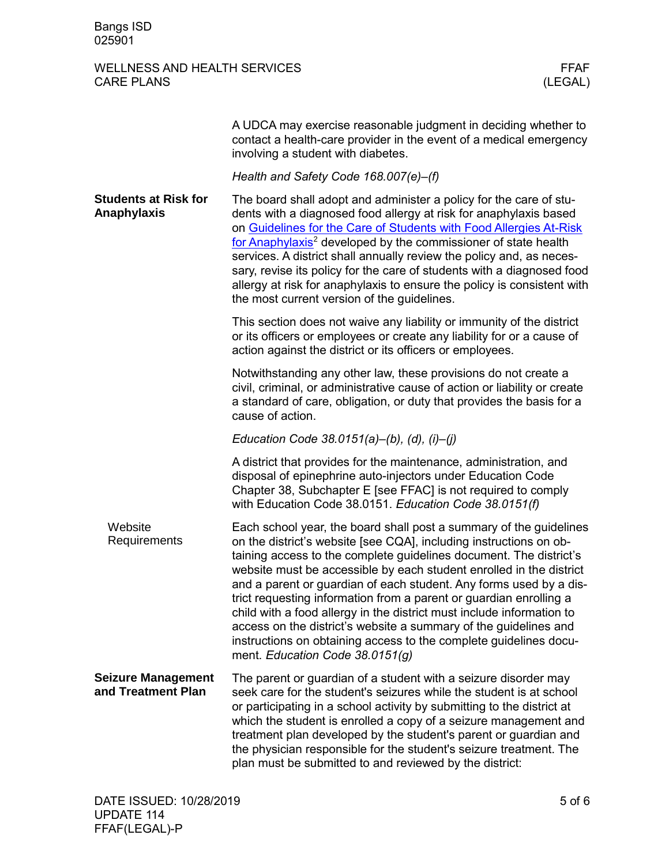|                                                 | A UDCA may exercise reasonable judgment in deciding whether to<br>contact a health-care provider in the event of a medical emergency<br>involving a student with diabetes.                                                                                                                                                                                                                                                                                                                                                                                                                                                                                                             |
|-------------------------------------------------|----------------------------------------------------------------------------------------------------------------------------------------------------------------------------------------------------------------------------------------------------------------------------------------------------------------------------------------------------------------------------------------------------------------------------------------------------------------------------------------------------------------------------------------------------------------------------------------------------------------------------------------------------------------------------------------|
|                                                 | Health and Safety Code 168.007(e)-(f)                                                                                                                                                                                                                                                                                                                                                                                                                                                                                                                                                                                                                                                  |
| <b>Students at Risk for</b><br>Anaphylaxis      | The board shall adopt and administer a policy for the care of stu-<br>dents with a diagnosed food allergy at risk for anaphylaxis based<br>on Guidelines for the Care of Students with Food Allergies At-Risk<br>for Anaphylaxis <sup>2</sup> developed by the commissioner of state health<br>services. A district shall annually review the policy and, as neces-<br>sary, revise its policy for the care of students with a diagnosed food<br>allergy at risk for anaphylaxis to ensure the policy is consistent with<br>the most current version of the guidelines.                                                                                                                |
|                                                 | This section does not waive any liability or immunity of the district<br>or its officers or employees or create any liability for or a cause of<br>action against the district or its officers or employees.                                                                                                                                                                                                                                                                                                                                                                                                                                                                           |
|                                                 | Notwithstanding any other law, these provisions do not create a<br>civil, criminal, or administrative cause of action or liability or create<br>a standard of care, obligation, or duty that provides the basis for a<br>cause of action.                                                                                                                                                                                                                                                                                                                                                                                                                                              |
|                                                 | Education Code 38.0151(a)–(b), (d), (i)–(j)                                                                                                                                                                                                                                                                                                                                                                                                                                                                                                                                                                                                                                            |
|                                                 | A district that provides for the maintenance, administration, and<br>disposal of epinephrine auto-injectors under Education Code<br>Chapter 38, Subchapter E [see FFAC] is not required to comply<br>with Education Code 38.0151. Education Code 38.0151(f)                                                                                                                                                                                                                                                                                                                                                                                                                            |
| Website<br>Requirements                         | Each school year, the board shall post a summary of the guidelines<br>on the district's website [see CQA], including instructions on ob-<br>taining access to the complete guidelines document. The district's<br>website must be accessible by each student enrolled in the district<br>and a parent or guardian of each student. Any forms used by a dis-<br>trict requesting information from a parent or guardian enrolling a<br>child with a food allergy in the district must include information to<br>access on the district's website a summary of the guidelines and<br>instructions on obtaining access to the complete guidelines docu-<br>ment. Education Code 38.0151(g) |
| <b>Seizure Management</b><br>and Treatment Plan | The parent or guardian of a student with a seizure disorder may<br>seek care for the student's seizures while the student is at school<br>or participating in a school activity by submitting to the district at<br>which the student is enrolled a copy of a seizure management and<br>treatment plan developed by the student's parent or guardian and<br>the physician responsible for the student's seizure treatment. The<br>plan must be submitted to and reviewed by the district:                                                                                                                                                                                              |